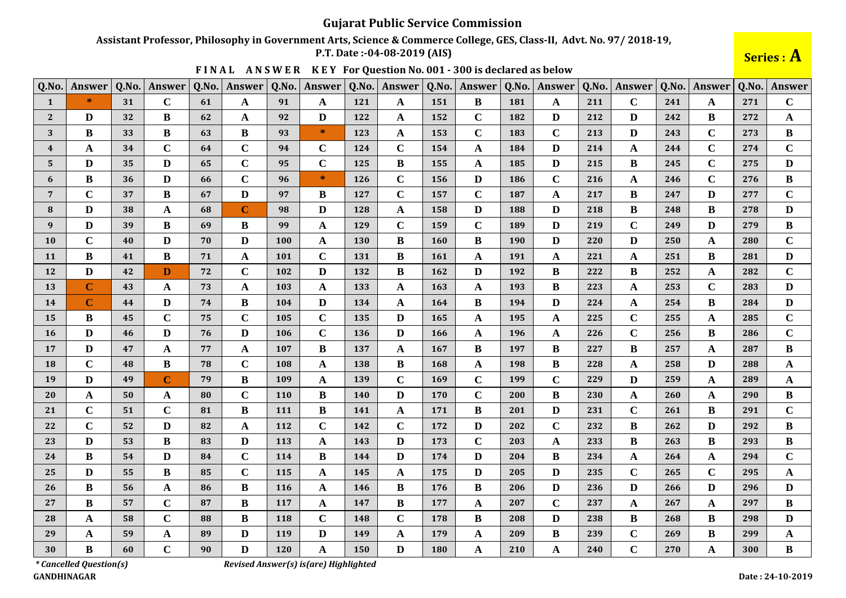## Assistant Professor, Philosophy in Government Arts, Science & Commerce College, GES, Class-II, Advt. No. 97/2018-19,

P.T. Date: -04-08-2019 (AIS)

Series : A

| Q.No.                   | Answer       | Q.No. | Answer      | Q.No. | Answer       | Q.No. | Answer       | Q.No.      | Answer       | Q.No.      | <b>Answer</b> | Q.No. | Answer       | Q.No. | <b>Answer</b> | Q.No. | Answer       | Q.No. | Answer       |
|-------------------------|--------------|-------|-------------|-------|--------------|-------|--------------|------------|--------------|------------|---------------|-------|--------------|-------|---------------|-------|--------------|-------|--------------|
| -1                      | *            | 31    | $\mathbf C$ | 61    | $\mathbf{A}$ | 91    | A            | 121        | A            | 151        | B             | 181   | A            | 211   | $\mathbf C$   | 241   | A            | 271   | $\mathbf C$  |
| $\mathbf{2}$            | D            | 32    | B           | 62    | $\mathbf{A}$ | 92    | D            | 122        | A            | 152        | $\mathbf C$   | 182   | D            | 212   | D             | 242   | B            | 272   | A            |
| 3                       | $\bf{B}$     | 33    | B           | 63    | $\bf{B}$     | 93    | $\ast$       | 123        | $\mathbf A$  | 153        | $\mathbf C$   | 183   | $\mathbf C$  | 213   | D             | 243   | $\mathbf C$  | 273   | $\bf{B}$     |
| $\overline{\mathbf{4}}$ | A            | 34    | $\mathbf C$ | 64    | $\mathbf C$  | 94    | $\mathbf C$  | 124        | $\mathbf C$  | 154        | A             | 184   | D            | 214   | A             | 244   | $\mathbf C$  | 274   | $\mathbf C$  |
| 5                       | $\bf{D}$     | 35    | D           | 65    | $\mathbf C$  | 95    | $\mathbf C$  | 125        | B            | 155        | A             | 185   | D            | 215   | B             | 245   | $\mathbf C$  | 275   | $\mathbf{D}$ |
| 6                       | $\bf{B}$     | 36    | D           | 66    | $\mathbf C$  | 96    | $\ast$       | 126        | $\mathbf C$  | 156        | D             | 186   | $\mathbf C$  | 216   | A             | 246   | $\mathbf C$  | 276   | B            |
| $7\phantom{.0}$         | $\mathbf C$  | 37    | $\bf{B}$    | 67    | $\mathbf{D}$ | 97    | B            | 127        | $\mathbf C$  | 157        | $\mathbf C$   | 187   | $\mathbf{A}$ | 217   | B             | 247   | D            | 277   | $\mathbf C$  |
| 8                       | D            | 38    | A           | 68    | $\bf C$      | 98    | D            | 128        | A            | 158        | $\mathbf{D}$  | 188   | $\mathbf{D}$ | 218   | $\bf{B}$      | 248   | B            | 278   | $\mathbf{D}$ |
| 9                       | D            | 39    | B           | 69    | B            | 99    | A            | 129        | $\mathbf C$  | 159        | $\mathbf C$   | 189   | $\mathbf{D}$ | 219   | $\mathbf C$   | 249   | D            | 279   | B            |
| <b>10</b>               | $\mathbf C$  | 40    | D           | 70    | D            | 100   | A            | <b>130</b> | B            | <b>160</b> | B             | 190   | D            | 220   | D             | 250   | A            | 280   | $\mathbf C$  |
| 11                      | $\bf{B}$     | 41    | B           | 71    | $\mathbf A$  | 101   | $\mathbf C$  | 131        | $\bf{B}$     | <b>161</b> | $\mathbf A$   | 191   | $\mathbf{A}$ | 221   | A             | 251   | $\bf{B}$     | 281   | $\mathbf{D}$ |
| 12                      | D            | 42    | D           | 72    | $\mathbf C$  | 102   | D            | 132        | B            | 162        | D             | 192   | B            | 222   | B             | 252   | A            | 282   | $\mathbf C$  |
| 13                      | $\mathbf C$  | 43    | A           | 73    | $\mathbf{A}$ | 103   | $\mathbf{A}$ | 133        | $\mathbf A$  | 163        | $\mathbf A$   | 193   | $\bf{B}$     | 223   | A             | 253   | $\mathbf C$  | 283   | $\mathbf D$  |
| 14                      | $\mathbf C$  | 44    | D           | 74    | B            | 104   | D            | 134        | A            | <b>164</b> | B             | 194   | D            | 224   | A             | 254   | B            | 284   | D            |
| 15                      | B            | 45    | $\mathbf C$ | 75    | $\mathbf C$  | 105   | $\mathbf C$  | 135        | D            | 165        | $\mathbf A$   | 195   | A            | 225   | $\mathbf C$   | 255   | A            | 285   | $\mathbf C$  |
| 16                      | D            | 46    | D           | 76    | $\mathbf{D}$ | 106   | $\mathbf C$  | <b>136</b> | D            | <b>166</b> | $\mathbf A$   | 196   | A            | 226   | $\mathbf C$   | 256   | B            | 286   | $\mathbf C$  |
| 17                      | D            | 47    | A           | 77    | $\mathbf A$  | 107   | $\bf{B}$     | 137        | $\mathbf{A}$ | 167        | $\bf{B}$      | 197   | B            | 227   | $\bf{B}$      | 257   | $\mathbf{A}$ | 287   | B            |
| <b>18</b>               | $\mathbf C$  | 48    | B           | 78    | $\mathbf C$  | 108   | A            | 138        | B            | 168        | $\mathbf A$   | 198   | B            | 228   | A             | 258   | D            | 288   | $\mathbf A$  |
| 19                      | $\mathbf{D}$ | 49    | $\mathbf C$ | 79    | $\bf{B}$     | 109   | A            | 139        | $\mathbf C$  | <b>169</b> | $\mathbf C$   | 199   | $\mathbf C$  | 229   | D             | 259   | A            | 289   | $\mathbf A$  |
| 20                      | A            | 50    | A           | 80    | $\mathbf C$  | 110   | B            | <b>140</b> | D            | 170        | $\mathbf C$   | 200   | B            | 230   | A             | 260   | A            | 290   | B            |
| 21                      | $\mathbf C$  | 51    | $\mathbf C$ | 81    | $\bf{B}$     | 111   | $\bf{B}$     | 141        | $\mathbf A$  | 171        | $\bf{B}$      | 201   | $\mathbf{D}$ | 231   | $\mathbf C$   | 261   | B            | 291   | $\mathbf C$  |
| 22                      | $\mathbf C$  | 52    | D           | 82    | $\mathbf{A}$ | 112   | $\mathbf C$  | 142        | $\mathbf C$  | 172        | D             | 202   | $\mathbf C$  | 232   | B             | 262   | D            | 292   | B            |
| 23                      | $\bf{D}$     | 53    | B           | 83    | $\mathbf D$  | 113   | $\mathbf{A}$ | 143        | D            | 173        | $\mathbf C$   | 203   | $\mathbf A$  | 233   | $\bf{B}$      | 263   | $\bf{B}$     | 293   | $\bf{B}$     |
| 24                      | B            | 54    | D           | 84    | $\mathbf C$  | 114   | B            | 144        | D            | 174        | D             | 204   | B            | 234   | A             | 264   | A            | 294   | $\mathbf C$  |
| 25                      | D            | 55    | B           | 85    | $\mathbf C$  | 115   | A            | 145        | A            | 175        | D             | 205   | D            | 235   | $\mathbf C$   | 265   | $\mathbf C$  | 295   | $\mathbf A$  |
| 26                      | B            | 56    | A           | 86    | B            | 116   | A            | 146        | B            | 176        | B             | 206   | D            | 236   | D             | 266   | D            | 296   | D            |
| 27                      | $\bf{B}$     | 57    | $\mathbf C$ | 87    | $\bf{B}$     | 117   | $\mathbf{A}$ | 147        | B            | 177        | $\mathbf A$   | 207   | $\mathbf C$  | 237   | A             | 267   | A            | 297   | $\bf{B}$     |
| 28                      | A            | 58    | $\mathbf C$ | 88    | $\bf{B}$     | 118   | $\mathbf C$  | 148        | $\mathbf C$  | 178        | $\bf{B}$      | 208   | D            | 238   | B             | 268   | B            | 298   | $\mathbf{D}$ |
| 29                      | $\mathbf A$  | 59    | A           | 89    | $\mathbf D$  | 119   | $\mathbf{D}$ | 149        | $\mathbf A$  | 179        | $\mathbf A$   | 209   | $\bf{B}$     | 239   | $\mathbf C$   | 269   | $\bf{B}$     | 299   | $\mathbf A$  |
| 30                      | B            | 60    | $\mathbf C$ | 90    | D            | 120   | A            | 150        | D            | <b>180</b> | $\mathbf A$   | 210   | A            | 240   | $\mathbf C$   | 270   | A            | 300   | $\bf{B}$     |

FINAL ANSWER KEY For Question No. 001 - 300 is declared as below

*\* Cancelled Question(s)* **GANDHINAGAR** 

Revised Answer(s) is(are) Highlighted

Date: 24-10-2019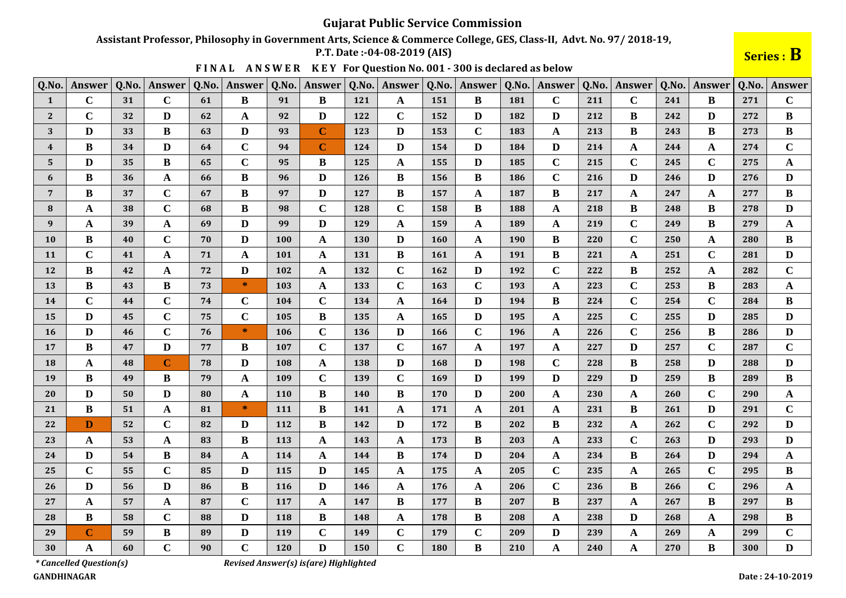Assistant Professor, Philosophy in Government Arts, Science & Commerce College, GES, Class-II, Advt. No. 97/2018-19,

P.T. Date: -04-08-2019 (AIS)

Series : B

|  |  |  |  | FINAL ANSWER KEY For Question No. 001 - 300 is declared as below |
|--|--|--|--|------------------------------------------------------------------|
|--|--|--|--|------------------------------------------------------------------|

| Q.No.            | Answer      | Q.No. | Answer       | Q.No. | Answer         | Q.No. | Answer      | Q.No. | Answer                  | Q.No. | <b>Answer</b> | Q.No. | Answer       | Q.No. | Answer       | Q.No. | <b>Answer</b> | Q.No. | Answer       |
|------------------|-------------|-------|--------------|-------|----------------|-------|-------------|-------|-------------------------|-------|---------------|-------|--------------|-------|--------------|-------|---------------|-------|--------------|
| $\mathbf{1}$     | $\mathbf C$ | 31    | $\mathbf C$  | 61    | B              | 91    | B           | 121   | $\mathbf{A}$            | 151   | B             | 181   | $\mathbf C$  | 211   | $\mathbf C$  | 241   | B             | 271   | $\mathbf C$  |
| $\mathbf{2}$     | $\mathbf C$ | 32    | D            | 62    | $\mathbf A$    | 92    | D           | 122   | $\mathbf C$             | 152   | D             | 182   | D            | 212   | B            | 242   | D             | 272   | $\bf{B}$     |
| 3                | D           | 33    | B            | 63    | $\mathbf{D}$   | 93    | $\bf C$     | 123   | D                       | 153   | $\mathbf C$   | 183   | $\mathbf{A}$ | 213   | B            | 243   | B             | 273   | $\bf{B}$     |
| $\boldsymbol{4}$ | $\bf{B}$    | 34    | D            | 64    | $\mathbf C$    | 94    | $\mathbf C$ | 124   | $\mathbf{D}$            | 154   | $\mathbf{D}$  | 184   | $\mathbf{D}$ | 214   | A            | 244   | A             | 274   | $\mathbf C$  |
| 5                | D           | 35    | B            | 65    | $\mathbf C$    | 95    | B           | 125   | A                       | 155   | D             | 185   | $\mathbf C$  | 215   | $\mathbf C$  | 245   | $\mathbf C$   | 275   | A            |
| 6                | $\bf{B}$    | 36    | A            | 66    | $\bf{B}$       | 96    | D           | 126   | $\bf{B}$                | 156   | $\bf{B}$      | 186   | $\mathbf C$  | 216   | D            | 246   | D             | 276   | D            |
| $7\phantom{.0}$  | $\bf{B}$    | 37    | $\mathbf C$  | 67    | B              | 97    | D           | 127   | B                       | 157   | A             | 187   | $\bf{B}$     | 217   | A            | 247   | A             | 277   | $\bf{B}$     |
| 8                | A           | 38    | $\mathbf C$  | 68    | B              | 98    | $\mathbf C$ | 128   | $\mathbf C$             | 158   | B             | 188   | $\mathbf A$  | 218   | B            | 248   | B             | 278   | $\mathbf{D}$ |
| 9                | $\mathbf A$ | 39    | $\mathbf{A}$ | 69    | D              | 99    | D           | 129   | $\mathbf{A}$            | 159   | $\mathbf{A}$  | 189   | $\mathbf A$  | 219   | $\mathbf C$  | 249   | B             | 279   | $\mathbf{A}$ |
| <b>10</b>        | B           | 40    | $\mathbf C$  | 70    | D              | 100   | A           | 130   | D                       | 160   | A             | 190   | B            | 220   | $\mathbf C$  | 250   | A             | 280   | B            |
| <b>11</b>        | $\mathbf C$ | 41    | A            | 71    | $\mathbf{A}$   | 101   | A           | 131   | $\bf{B}$                | 161   | $\mathbf{A}$  | 191   | $\bf{B}$     | 221   | $\mathbf A$  | 251   | $\mathbf C$   | 281   | D            |
| <b>12</b>        | $\bf{B}$    | 42    | A            | 72    | D              | 102   | A           | 132   | $\mathbf C$             | 162   | D             | 192   | $\mathbf C$  | 222   | B            | 252   | A             | 282   | $\mathbf C$  |
| 13               | $\bf{B}$    | 43    | B            | 73    | $\ast$         | 103   | A           | 133   | $\mathbf C$             | 163   | $\mathbf C$   | 193   | $\mathbf A$  | 223   | $\mathbf C$  | 253   | B             | 283   | $\mathbf{A}$ |
| 14               | $\mathbf C$ | 44    | $\mathbf C$  | 74    | $\mathbf C$    | 104   | $\mathbf C$ | 134   | A                       | 164   | D             | 194   | $\bf{B}$     | 224   | $\mathbf C$  | 254   | $\mathbf C$   | 284   | $\bf{B}$     |
| 15               | D           | 45    | $\mathbf C$  | 75    | $\mathbf C$    | 105   | B           | 135   | A                       | 165   | D             | 195   | $\mathbf A$  | 225   | $\mathbf C$  | 255   | D             | 285   | $\mathbf{D}$ |
| <b>16</b>        | D           | 46    | $\mathbf C$  | 76    | $\ast$         | 106   | $\mathbf C$ | 136   | D                       | 166   | $\mathbf C$   | 196   | $\mathbf A$  | 226   | $\mathbf C$  | 256   | <sub>B</sub>  | 286   | D            |
| 17               | $\bf{B}$    | 47    | $\mathbf{D}$ | 77    | B              | 107   | $\mathbf C$ | 137   | $\mathbf C$             | 167   | $\mathbf{A}$  | 197   | A            | 227   | D            | 257   | $\mathbf C$   | 287   | $\mathbf C$  |
| <b>18</b>        | A           | 48    | $\mathbf{C}$ | 78    | $\mathbf{D}$   | 108   | A           | 138   | D                       | 168   | D             | 198   | $\mathbf C$  | 228   | $\bf{B}$     | 258   | D             | 288   | $\mathbf{D}$ |
| 19               | $\bf{B}$    | 49    | B            | 79    | $\mathbf{A}$   | 109   | $\mathbf C$ | 139   | $\mathbf C$             | 169   | $\mathbf{D}$  | 199   | $\mathbf{D}$ | 229   | $\mathbf{D}$ | 259   | B             | 289   | $\bf{B}$     |
| 20               | D           | 50    | D            | 80    | $\mathbf{A}$   | 110   | B           | 140   | B                       | 170   | D             | 200   | $\mathbf A$  | 230   | A            | 260   | $\mathbf C$   | 290   | A            |
| 21               | B           | 51    | A            | 81    | $\ast$         | 111   | B           | 141   | $\mathbf{A}$            | 171   | $\mathbf{A}$  | 201   | $\mathbf A$  | 231   | B            | 261   | D             | 291   | $\mathbf C$  |
| 22               | D           | 52    | $\mathbf C$  | 82    | $\mathbf{D}$   | 112   | B           | 142   | D                       | 172   | B             | 202   | $\bf{B}$     | 232   | A            | 262   | $\mathbf C$   | 292   | D            |
| 23               | $\mathbf A$ | 53    | A            | 83    | B              | 113   | A           | 143   | A                       | 173   | B             | 203   | $\mathbf A$  | 233   | $\mathbf C$  | 263   | D             | 293   | D            |
| 24               | D           | 54    | B            | 84    | $\mathbf{A}$   | 114   | A           | 144   | B                       | 174   | D             | 204   | $\mathbf A$  | 234   | B            | 264   | D             | 294   | $\mathbf A$  |
| 25               | $\mathbf C$ | 55    | $\mathbf C$  | 85    | D              | 115   | D           | 145   | A                       | 175   | A             | 205   | $\mathbf C$  | 235   | A            | 265   | $\mathbf C$   | 295   | B            |
| 26               | $\bf{D}$    | 56    | D            | 86    | $\bf{B}$       | 116   | D           | 146   | $\mathbf{A}$            | 176   | $\mathbf{A}$  | 206   | $\mathbf C$  | 236   | B            | 266   | $\mathbf C$   | 296   | $\mathbf{A}$ |
| 27               | A           | 57    | A            | 87    | $\mathbf C$    | 117   | A           | 147   | $\bf{B}$                | 177   | $\bf{B}$      | 207   | $\bf{B}$     | 237   | A            | 267   | B             | 297   | $\bf{B}$     |
| 28               | B           | 58    | $\mathbf C$  | 88    | $\mathbf{D}$   | 118   | B           | 148   | $\mathbf{A}$            | 178   | $\bf{B}$      | 208   | $\mathbf A$  | 238   | D            | 268   | A             | 298   | B            |
| 29               | $\mathbf C$ | 59    | B            | 89    | $\mathbf{D}$   | 119   | $\mathbf C$ | 149   | $\mathbf C$             | 179   | $\mathbf C$   | 209   | $\mathbf{D}$ | 239   | $\mathbf A$  | 269   | A             | 299   | $\mathbf C$  |
| 30               | A           | 60    | $\mathbf C$  | 90    | $\overline{C}$ | 120   | D           | 150   | $\overline{\mathbf{C}}$ | 180   | B             | 210   | $\mathbf{A}$ | 240   | $\mathbf{A}$ | 270   | <sub>R</sub>  | 300   | $\mathbf{D}$ |

*\* Cancelled Question(s)* 

Revised Answer(s) is(are) Highlighted

**GANDHINAGAR**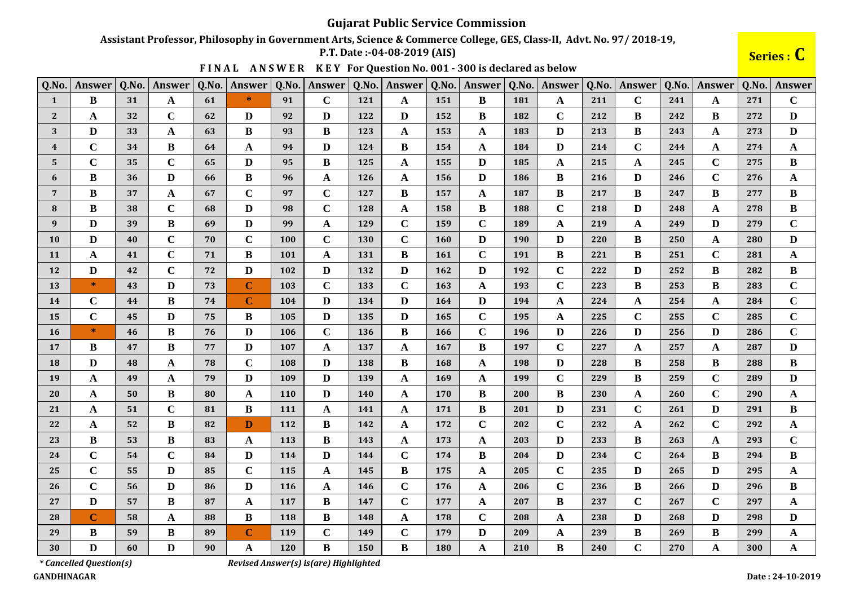Assistant Professor, Philosophy in Government Arts, Science & Commerce College, GES, Class-II, Advt. No. 97/2018-19,

P.T. Date: -04-08-2019 (AIS)

Series : C

|  |  |  |  | FINAL ANSWER KEY For Question No. 001 - 300 is declared as below |
|--|--|--|--|------------------------------------------------------------------|
|--|--|--|--|------------------------------------------------------------------|

| Q.No.          | Answer       | Q.No. | Answer       | Q.No. | Answer       | Q.No.      | Answer       | Q.No.      | <b>Answer</b> | Q.No.      | Answer       | Q.No.      | <b>Answer</b> | Q.No. | Answer      | Q.No. | Answer      | Q.No. | Answer       |
|----------------|--------------|-------|--------------|-------|--------------|------------|--------------|------------|---------------|------------|--------------|------------|---------------|-------|-------------|-------|-------------|-------|--------------|
| $\mathbf{1}$   | $\bf{B}$     | 31    | A            | 61    | $\ast$       | 91         | $\mathbf C$  | 121        | $\mathbf A$   | 151        | $\bf{B}$     | 181        | A             | 211   | $\mathbf C$ | 241   | A           | 271   | $\mathbf C$  |
| $\mathbf{2}$   | A            | 32    | $\mathbf C$  | 62    | D            | 92         | D            | 122        | D             | 152        | B            | 182        | $\mathbf C$   | 212   | B           | 242   | B           | 272   | D            |
| 3              | D            | 33    | A            | 63    | $\bf{B}$     | 93         | B            | 123        | A             | 153        | A            | 183        | D             | 213   | B           | 243   | A           | 273   | D            |
| $\overline{4}$ | $\mathbf C$  | 34    | B            | 64    | $\mathbf A$  | 94         | D            | 124        | B             | 154        | A            | 184        | $\mathbf{D}$  | 214   | $\mathbf C$ | 244   | A           | 274   | $\mathbf{A}$ |
| 5              | $\mathbf C$  | 35    | $\mathbf C$  | 65    | D            | 95         | B            | 125        | A             | 155        | D            | 185        | A             | 215   | A           | 245   | $\mathbf C$ | 275   | B            |
| 6              | B            | 36    | D            | 66    | $\, {\bf B}$ | 96         | A            | 126        | A             | 156        | D            | <b>186</b> | $\bf{B}$      | 216   | D           | 246   | $\mathbf C$ | 276   | $\mathbf{A}$ |
| $\overline{7}$ | B            | 37    | $\mathbf{A}$ | 67    | $\mathbf C$  | 97         | $\mathbf C$  | 127        | B             | 157        | A            | 187        | $\bf{B}$      | 217   | B           | 247   | B           | 277   | B            |
| 8              | B            | 38    | $\mathbf C$  | 68    | D            | 98         | $\mathbf C$  | 128        | A             | 158        | B            | 188        | $\mathbf C$   | 218   | D           | 248   | A           | 278   | B            |
| 9              | D            | 39    | B            | 69    | $\mathbf{D}$ | 99         | $\mathbf{A}$ | 129        | $\mathbf C$   | 159        | $\mathbf C$  | 189        | $\mathbf A$   | 219   | A           | 249   | D           | 279   | $\mathbf C$  |
| <b>10</b>      | D            | 40    | $\mathbf C$  | 70    | $\mathbf C$  | 100        | $\mathbf C$  | <b>130</b> | $\mathbf C$   | 160        | D            | 190        | $\mathbf{D}$  | 220   | B           | 250   | A           | 280   | D            |
| <b>11</b>      | A            | 41    | $\mathbf C$  | 71    | $\, {\bf B}$ | 101        | A            | 131        | B             | <b>161</b> | $\mathbf C$  | 191        | $\bf{B}$      | 221   | B           | 251   | $\mathbf C$ | 281   | $\mathbf{A}$ |
| 12             | D            | 42    | $\mathbf C$  | 72    | $\mathbf{D}$ | 102        | D            | 132        | D             | 162        | D            | 192        | $\mathbf C$   | 222   | D           | 252   | B           | 282   | B            |
| 13             | $\ast$       | 43    | D            | 73    | $\mathbf C$  | 103        | $\mathbf C$  | 133        | $\mathbf C$   | 163        | A            | 193        | $\mathbf C$   | 223   | B           | 253   | B           | 283   | $\mathbf C$  |
| 14             | $\mathbf C$  | 44    | B            | 74    | $\mathbf C$  | 104        | $\mathbf{D}$ | 134        | D             | 164        | $\mathbf{D}$ | 194        | $\mathbf A$   | 224   | A           | 254   | A           | 284   | $\mathbf C$  |
| 15             | $\mathbf C$  | 45    | D            | 75    | $\bf{B}$     | 105        | D            | 135        | D             | 165        | $\mathbf C$  | 195        | $\mathbf A$   | 225   | $\mathbf C$ | 255   | $\mathbf C$ | 285   | $\mathbf C$  |
| <b>16</b>      | $\ast$       | 46    | B            | 76    | D            | 106        | $\mathbf C$  | 136        | B             | 166        | $\mathbf C$  | 196        | D             | 226   | D           | 256   | D           | 286   | $\mathbf C$  |
| 17             | B            | 47    | B            | 77    | $\mathbf{D}$ | 107        | A            | 137        | A             | 167        | B            | 197        | $\mathbf C$   | 227   | A           | 257   | A           | 287   | D            |
| <b>18</b>      | D            | 48    | A            | 78    | $\mathbf C$  | 108        | D            | 138        | B             | 168        | A            | 198        | D             | 228   | B           | 258   | B           | 288   | B            |
| 19             | A            | 49    | A            | 79    | $\mathbf{D}$ | 109        | D            | 139        | A             | 169        | A            | 199        | $\bf C$       | 229   | B           | 259   | $\mathbf C$ | 289   | D            |
| 20             | A            | 50    | B            | 80    | $\mathbf A$  | <b>110</b> | D            | 140        | $\mathbf A$   | 170        | B            | 200        | $\bf{B}$      | 230   | A           | 260   | $\mathbf C$ | 290   | $\mathbf{A}$ |
| 21             | $\mathbf{A}$ | 51    | $\mathbf C$  | 81    | $\bf{B}$     | 111        | A            | 141        | $\mathbf{A}$  | 171        | B            | 201        | D             | 231   | $\mathbf C$ | 261   | D           | 291   | B            |
| 22             | A            | 52    | B            | 82    | $\mathbf{D}$ | 112        | B            | 142        | A             | 172        | $\mathbf C$  | 202        | $\mathbf C$   | 232   | A           | 262   | $\mathbf C$ | 292   | A            |
| 23             | B            | 53    | B            | 83    | $\mathbf{A}$ | 113        | $\bf{B}$     | 143        | $\mathbf{A}$  | 173        | A            | 203        | D             | 233   | B           | 263   | A           | 293   | $\mathbf C$  |
| 24             | $\mathbf C$  | 54    | $\mathbf C$  | 84    | D            | 114        | D            | 144        | $\mathbf C$   | 174        | B            | 204        | D             | 234   | $\mathbf C$ | 264   | B           | 294   | B            |
| 25             | $\mathbf C$  | 55    | D            | 85    | $\mathbf C$  | 115        | $\mathbf{A}$ | 145        | B             | 175        | $\mathbf{A}$ | 205        | $\mathbf C$   | 235   | D           | 265   | D           | 295   | $\mathbf{A}$ |
| 26             | $\mathbf C$  | 56    | D            | 86    | D            | 116        | A            | 146        | $\mathbf C$   | 176        | A            | 206        | $\mathbf C$   | 236   | B           | 266   | D           | 296   | B            |
| 27             | D            | 57    | B            | 87    | A            | 117        | B            | 147        | $\mathbf C$   | 177        | A            | 207        | $\bf{B}$      | 237   | $\mathbf C$ | 267   | $\mathbf C$ | 297   | A            |
| 28             | $\mathbf C$  | 58    | A            | 88    | $\, {\bf B}$ | 118        | $\bf{B}$     | 148        | $\mathbf{A}$  | 178        | $\mathbf C$  | 208        | $\mathbf{A}$  | 238   | D           | 268   | D           | 298   | D            |
| 29             | B            | 59    | B            | 89    | $\mathbf C$  | 119        | $\mathbf C$  | 149        | $\mathbf C$   | 179        | D            | 209        | A             | 239   | B           | 269   | B           | 299   | A            |
| 30             | D            | 60    | $\mathbf{D}$ | 90    | $\mathbf{A}$ | 120        | $\bf{B}$     | 150        | $\bf{B}$      | 180        | $\mathbf{A}$ | 210        | $\bf{B}$      | 240   | $\mathbf C$ | 270   | $\mathbf A$ | 300   | $\mathbf{A}$ |

*\* Cancelled Question(s)* 

Revised Answer(s) is(are) Highlighted

**GANDHINAGAR**